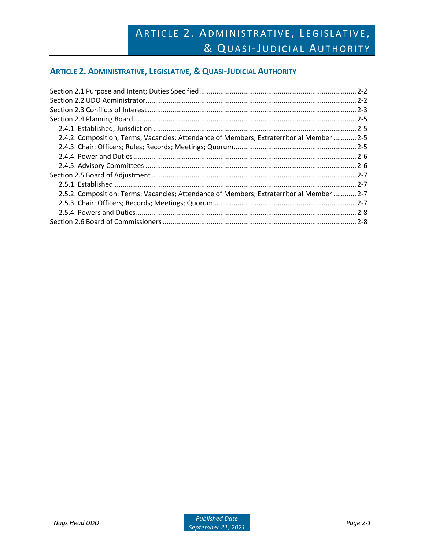## **ARTICLE 2. ADMINISTRATIVE, LEGISLATIVE, & QUASI-JUDICIAL AUTHORITY**

| 2.4.2. Composition; Terms; Vacancies; Attendance of Members; Extraterritorial Member  2-5 |  |
|-------------------------------------------------------------------------------------------|--|
|                                                                                           |  |
|                                                                                           |  |
|                                                                                           |  |
|                                                                                           |  |
|                                                                                           |  |
| 2.5.2. Composition; Terms; Vacancies; Attendance of Members; Extraterritorial Member  2-7 |  |
|                                                                                           |  |
|                                                                                           |  |
|                                                                                           |  |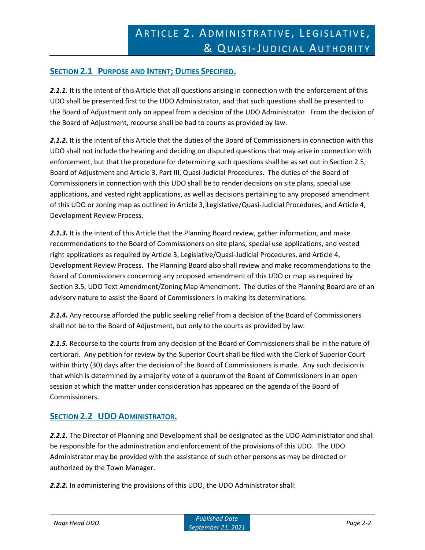## **SECTION 2.1 PURPOSE AND INTENT; DUTIES SPECIFIED.**

2.1.1. It is the intent of this Article that all questions arising in connection with the enforcement of this UDO shall be presented first to the UDO Administrator, and that such questions shall be presented to the Board of Adjustment only on appeal from a decision of the UDO Administrator. From the decision of the Board of Adjustment, recourse shall be had to courts as provided by law.

*2.1.2.* It is the intent of this Article that the duties of the Board of Commissioners in connection with this UDO shall not include the hearing and deciding on disputed questions that may arise in connection with enforcement, but that the procedure for determining such questions shall be as set out in Section 2.5, Board of Adjustment and Article 3, Part III, Quasi-Judicial Procedures. The duties of the Board of Commissioners in connection with this UDO shall be to render decisions on site plans, special use applications, and vested right applications, as well as decisions pertaining to any proposed amendment of this UDO or zoning map as outlined in Article 3, Legislative/Quasi-Judicial Procedures, and Article 4, Development Review Process.

2.1.3. It is the intent of this Article that the Planning Board review, gather information, and make recommendations to the Board of Commissioners on site plans, special use applications, and vested right applications as required by Article 3, Legislative/Quasi-Judicial Procedures, and Article 4, Development Review Process. The Planning Board also shall review and make recommendations to the Board of Commissioners concerning any proposed amendment of this UDO or map as required by Section 3.5, UDO Text Amendment/Zoning Map Amendment. The duties of the Planning Board are of an advisory nature to assist the Board of Commissioners in making its determinations.

2.1.4. Any recourse afforded the public seeking relief from a decision of the Board of Commissioners shall not be to the Board of Adjustment, but only to the courts as provided by law.

*2.1.5.* Recourse to the courts from any decision of the Board of Commissioners shall be in the nature of certiorari. Any petition for review by the Superior Court shall be filed with the Clerk of Superior Court within thirty (30) days after the decision of the Board of Commissioners is made. Any such decision is that which is determined by a majority vote of a quorum of the Board of Commissioners in an open session at which the matter under consideration has appeared on the agenda of the Board of Commissioners.

## **SECTION 2.2 UDO ADMINISTRATOR.**

2.2.1. The Director of Planning and Development shall be designated as the UDO Administrator and shall be responsible for the administration and enforcement of the provisions of this UDO. The UDO Administrator may be provided with the assistance of such other persons as may be directed or authorized by the Town Manager.

*2.2.2.* In administering the provisions of this UDO, the UDO Administrator shall: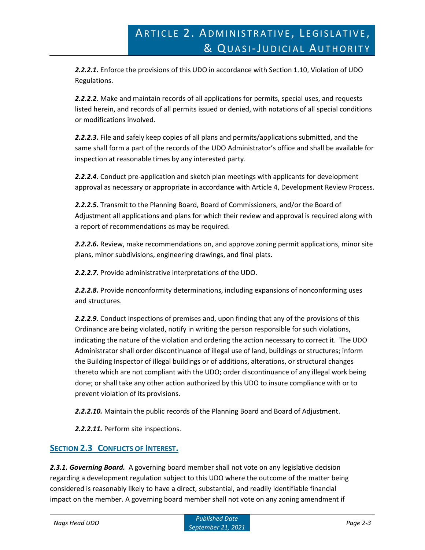*2.2.2.1.* Enforce the provisions of this UDO in accordance with Section 1.10, Violation of UDO Regulations.

*2.2.2.2.* Make and maintain records of all applications for permits, special uses, and requests listed herein, and records of all permits issued or denied, with notations of all special conditions or modifications involved.

*2.2.2.3.* File and safely keep copies of all plans and permits/applications submitted, and the same shall form a part of the records of the UDO Administrator's office and shall be available for inspection at reasonable times by any interested party.

*2.2.2.4.* Conduct pre-application and sketch plan meetings with applicants for development approval as necessary or appropriate in accordance with Article 4, Development Review Process.

*2.2.2.5.* Transmit to the Planning Board, Board of Commissioners, and/or the Board of Adjustment all applications and plans for which their review and approval is required along with a report of recommendations as may be required.

*2.2.2.6.* Review, make recommendations on, and approve zoning permit applications, minor site plans, minor subdivisions, engineering drawings, and final plats.

*2.2.2.7.* Provide administrative interpretations of the UDO.

*2.2.2.8.* Provide nonconformity determinations, including expansions of nonconforming uses and structures.

*2.2.2.9.* Conduct inspections of premises and, upon finding that any of the provisions of this Ordinance are being violated, notify in writing the person responsible for such violations, indicating the nature of the violation and ordering the action necessary to correct it. The UDO Administrator shall order discontinuance of illegal use of land, buildings or structures; inform the Building Inspector of illegal buildings or of additions, alterations, or structural changes thereto which are not compliant with the UDO; order discontinuance of any illegal work being done; or shall take any other action authorized by this UDO to insure compliance with or to prevent violation of its provisions.

*2.2.2.10.* Maintain the public records of the Planning Board and Board of Adjustment.

*2.2.2.11.* Perform site inspections.

### **SECTION 2.3 CONFLICTS OF INTEREST.**

*2.3.1. Governing Board.* A governing board member shall not vote on any legislative decision regarding a development regulation subject to this UDO where the outcome of the matter being considered is reasonably likely to have a direct, substantial, and readily identifiable financial impact on the member. A governing board member shall not vote on any zoning amendment if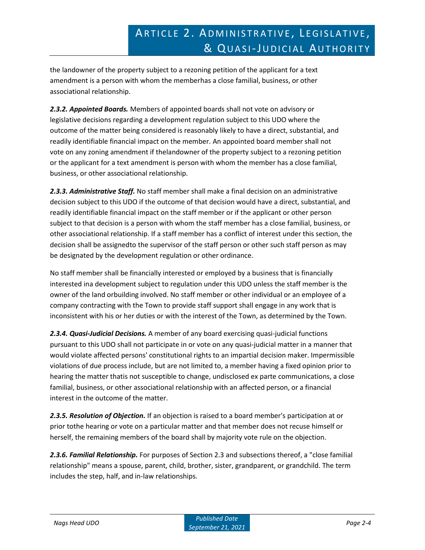the landowner of the property subject to a rezoning petition of the applicant for a text amendment is a person with whom the memberhas a close familial, business, or other associational relationship.

*2.3.2. Appointed Boards.* Members of appointed boards shall not vote on advisory or legislative decisions regarding a development regulation subject to this UDO where the outcome of the matter being considered is reasonably likely to have a direct, substantial, and readily identifiable financial impact on the member. An appointed board member shall not vote on any zoning amendment if thelandowner of the property subject to a rezoning petition or the applicant for a text amendment is person with whom the member has a close familial, business, or other associational relationship.

*2.3.3. Administrative Staff.* No staff member shall make a final decision on an administrative decision subject to this UDO if the outcome of that decision would have a direct, substantial, and readily identifiable financial impact on the staff member or if the applicant or other person subject to that decision is a person with whom the staff member has a close familial, business, or other associational relationship. If a staff member has a conflict of interest under this section, the decision shall be assignedto the supervisor of the staff person or other such staff person as may be designated by the development regulation or other ordinance.

No staff member shall be financially interested or employed by a business that is financially interested ina development subject to regulation under this UDO unless the staff member is the owner of the land orbuilding involved. No staff member or other individual or an employee of a company contracting with the Town to provide staff support shall engage in any work that is inconsistent with his or her duties or with the interest of the Town, as determined by the Town.

*2.3.4. Quasi-Judicial Decisions.* A member of any board exercising quasi-judicial functions pursuant to this UDO shall not participate in or vote on any quasi-judicial matter in a manner that would violate affected persons' constitutional rights to an impartial decision maker. Impermissible violations of due process include, but are not limited to, a member having a fixed opinion prior to hearing the matter thatis not susceptible to change, undisclosed ex parte communications, a close familial, business, or other associational relationship with an affected person, or a financial interest in the outcome of the matter.

*2.3.5. Resolution of Objection.* If an objection is raised to a board member's participation at or prior tothe hearing or vote on a particular matter and that member does not recuse himself or herself, the remaining members of the board shall by majority vote rule on the objection.

*2.3.6. Familial Relationship.* For purposes of Section 2.3 and subsections thereof, a "close familial relationship" means a spouse, parent, child, brother, sister, grandparent, or grandchild. The term includes the step, half, and in-law relationships.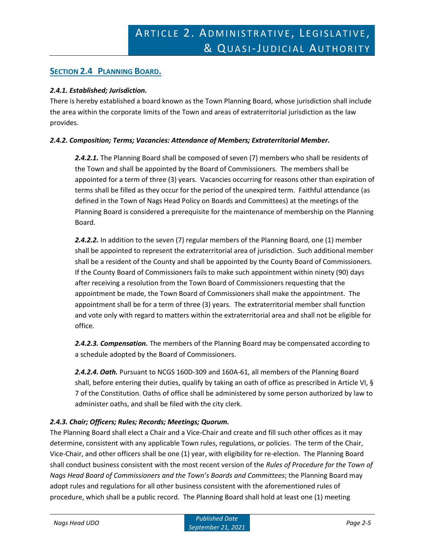## **SECTION 2.4 PLANNING BOARD.**

#### *2.4.1. Established; Jurisdiction.*

There is hereby established a board known as the Town Planning Board, whose jurisdiction shall include the area within the corporate limits of the Town and areas of extraterritorial jurisdiction as the law provides.

#### *2.4.2. Composition; Terms; Vacancies: Attendance of Members; Extraterritorial Member.*

*2.4.2.1.* The Planning Board shall be composed of seven (7) members who shall be residents of the Town and shall be appointed by the Board of Commissioners. The members shall be appointed for a term of three (3) years. Vacancies occurring for reasons other than expiration of terms shall be filled as they occur for the period of the unexpired term. Faithful attendance (as defined in the Town of Nags Head Policy on Boards and Committees) at the meetings of the Planning Board is considered a prerequisite for the maintenance of membership on the Planning Board.

**2.4.2.2.** In addition to the seven (7) regular members of the Planning Board, one (1) member shall be appointed to represent the extraterritorial area of jurisdiction. Such additional member shall be a resident of the County and shall be appointed by the County Board of Commissioners. If the County Board of Commissioners fails to make such appointment within ninety (90) days after receiving a resolution from the Town Board of Commissioners requesting that the appointment be made, the Town Board of Commissioners shall make the appointment. The appointment shall be for a term of three (3) years. The extraterritorial member shall function and vote only with regard to matters within the extraterritorial area and shall not be eligible for office.

*2.4.2.3. Compensation.* The members of the Planning Board may be compensated according to a schedule adopted by the Board of Commissioners.

*2.4.2.4. Oath.* Pursuant to NCGS 160D-309 and 160A-61, all members of the Planning Board shall, before entering their duties, qualify by taking an oath of office as prescribed in Article VI, § 7 of the Constitution. Oaths of office shall be administered by some person authorized by law to administer oaths, and shall be filed with the city clerk.

### *2.4.3. Chair; Officers; Rules; Records; Meetings; Quorum.*

The Planning Board shall elect a Chair and a Vice-Chair and create and fill such other offices as it may determine, consistent with any applicable Town rules, regulations, or policies. The term of the Chair, Vice-Chair, and other officers shall be one (1) year, with eligibility for re-election. The Planning Board shall conduct business consistent with the most recent version of the *Rules of Procedure for the Town of Nags Head Board of Commissioners and the Town's Boards and Committees*; the Planning Board may adopt rules and regulations for all other business consistent with the aforementioned rules of procedure, which shall be a public record. The Planning Board shall hold at least one (1) meeting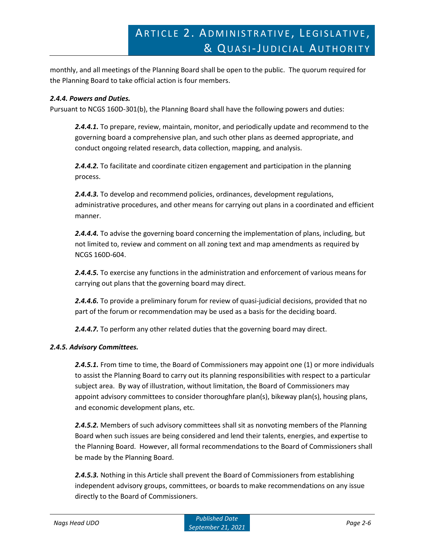monthly, and all meetings of the Planning Board shall be open to the public. The quorum required for the Planning Board to take official action is four members.

### *2.4.4. Powers and Duties.*

Pursuant to NCGS 160D-301(b), the Planning Board shall have the following powers and duties:

*2.4.4.1.* To prepare, review, maintain, monitor, and periodically update and recommend to the governing board a comprehensive plan, and such other plans as deemed appropriate, and conduct ongoing related research, data collection, mapping, and analysis.

*2.4.4.2.* To facilitate and coordinate citizen engagement and participation in the planning process.

*2.4.4.3.* To develop and recommend policies, ordinances, development regulations, administrative procedures, and other means for carrying out plans in a coordinated and efficient manner.

*2.4.4.4.* To advise the governing board concerning the implementation of plans, including, but not limited to, review and comment on all zoning text and map amendments as required by NCGS 160D-604.

*2.4.4.5.* To exercise any functions in the administration and enforcement of various means for carrying out plans that the governing board may direct.

*2.4.4.6.* To provide a preliminary forum for review of quasi-judicial decisions, provided that no part of the forum or recommendation may be used as a basis for the deciding board.

2.4.4.7. To perform any other related duties that the governing board may direct.

#### *2.4.5. Advisory Committees.*

*2.4.5.1.* From time to time, the Board of Commissioners may appoint one (1) or more individuals to assist the Planning Board to carry out its planning responsibilities with respect to a particular subject area. By way of illustration, without limitation, the Board of Commissioners may appoint advisory committees to consider thoroughfare plan(s), bikeway plan(s), housing plans, and economic development plans, etc.

*2.4.5.2.* Members of such advisory committees shall sit as nonvoting members of the Planning Board when such issues are being considered and lend their talents, energies, and expertise to the Planning Board. However, all formal recommendations to the Board of Commissioners shall be made by the Planning Board.

*2.4.5.3.* Nothing in this Article shall prevent the Board of Commissioners from establishing independent advisory groups, committees, or boards to make recommendations on any issue directly to the Board of Commissioners.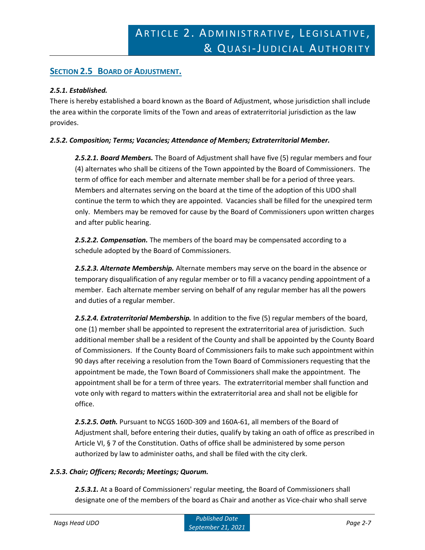## **SECTION 2.5 BOARD OF ADJUSTMENT.**

#### *2.5.1. Established.*

There is hereby established a board known as the Board of Adjustment, whose jurisdiction shall include the area within the corporate limits of the Town and areas of extraterritorial jurisdiction as the law provides.

#### *2.5.2. Composition; Terms; Vacancies; Attendance of Members; Extraterritorial Member.*

*2.5.2.1. Board Members.* The Board of Adjustment shall have five (5) regular members and four (4) alternates who shall be citizens of the Town appointed by the Board of Commissioners. The term of office for each member and alternate member shall be for a period of three years. Members and alternates serving on the board at the time of the adoption of this UDO shall continue the term to which they are appointed. Vacancies shall be filled for the unexpired term only. Members may be removed for cause by the Board of Commissioners upon written charges and after public hearing.

*2.5.2.2. Compensation.* The members of the board may be compensated according to a schedule adopted by the Board of Commissioners.

*2.5.2.3. Alternate Membership.* Alternate members may serve on the board in the absence or temporary disqualification of any regular member or to fill a vacancy pending appointment of a member. Each alternate member serving on behalf of any regular member has all the powers and duties of a regular member.

*2.5.2.4. Extraterritorial Membership.* In addition to the five (5) regular members of the board, one (1) member shall be appointed to represent the extraterritorial area of jurisdiction. Such additional member shall be a resident of the County and shall be appointed by the County Board of Commissioners. If the County Board of Commissioners fails to make such appointment within 90 days after receiving a resolution from the Town Board of Commissioners requesting that the appointment be made, the Town Board of Commissioners shall make the appointment. The appointment shall be for a term of three years. The extraterritorial member shall function and vote only with regard to matters within the extraterritorial area and shall not be eligible for office.

*2.5.2.5. Oath.* Pursuant to NCGS 160D-309 and 160A-61, all members of the Board of Adjustment shall, before entering their duties, qualify by taking an oath of office as prescribed in Article VI, § 7 of the Constitution. Oaths of office shall be administered by some person authorized by law to administer oaths, and shall be filed with the city clerk.

### *2.5.3. Chair; Officers; Records; Meetings; Quorum.*

*2.5.3.1.* At a Board of Commissioners' regular meeting, the Board of Commissioners shall designate one of the members of the board as Chair and another as Vice-chair who shall serve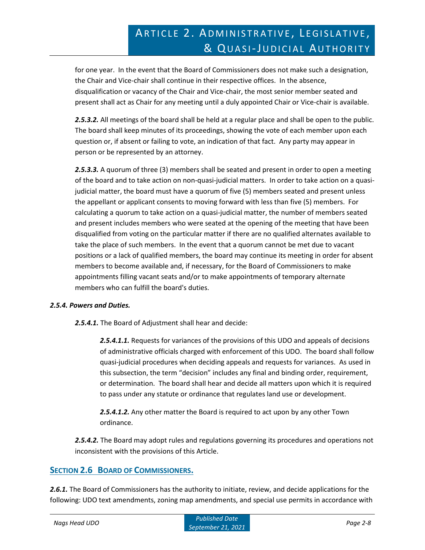for one year. In the event that the Board of Commissioners does not make such a designation, the Chair and Vice-chair shall continue in their respective offices. In the absence, disqualification or vacancy of the Chair and Vice-chair, the most senior member seated and present shall act as Chair for any meeting until a duly appointed Chair or Vice-chair is available.

*2.5.3.2.* All meetings of the board shall be held at a regular place and shall be open to the public. The board shall keep minutes of its proceedings, showing the vote of each member upon each question or, if absent or failing to vote, an indication of that fact. Any party may appear in person or be represented by an attorney.

*2.5.3.3.* A quorum of three (3) members shall be seated and present in order to open a meeting of the board and to take action on non-quasi-judicial matters. In order to take action on a quasijudicial matter, the board must have a quorum of five (5) members seated and present unless the appellant or applicant consents to moving forward with less than five (5) members. For calculating a quorum to take action on a quasi-judicial matter, the number of members seated and present includes members who were seated at the opening of the meeting that have been disqualified from voting on the particular matter if there are no qualified alternates available to take the place of such members. In the event that a quorum cannot be met due to vacant positions or a lack of qualified members, the board may continue its meeting in order for absent members to become available and, if necessary, for the Board of Commissioners to make appointments filling vacant seats and/or to make appointments of temporary alternate members who can fulfill the board's duties.

### *2.5.4. Powers and Duties.*

*2.5.4.1.* The Board of Adjustment shall hear and decide:

*2.5.4.1.1.* Requests for variances of the provisions of this UDO and appeals of decisions of administrative officials charged with enforcement of this UDO. The board shall follow quasi-judicial procedures when deciding appeals and requests for variances. As used in this subsection, the term "decision" includes any final and binding order, requirement, or determination. The board shall hear and decide all matters upon which it is required to pass under any statute or ordinance that regulates land use or development.

*2.5.4.1.2.* Any other matter the Board is required to act upon by any other Town ordinance.

*2.5.4.2.* The Board may adopt rules and regulations governing its procedures and operations not inconsistent with the provisions of this Article.

### **SECTION 2.6 BOARD OF COMMISSIONERS.**

*2.6.1.* The Board of Commissioners has the authority to initiate, review, and decide applications for the following: UDO text amendments, zoning map amendments, and special use permits in accordance with